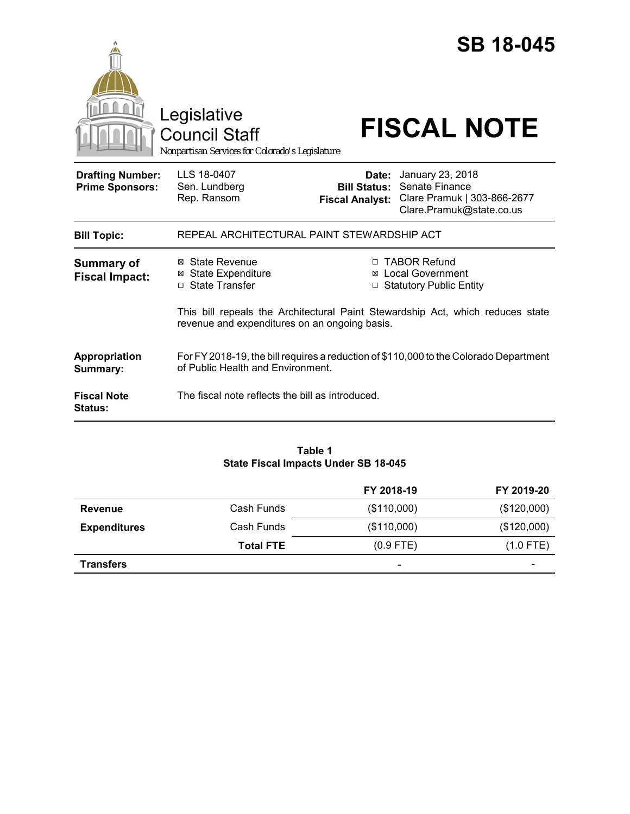|                                                   | Legislative<br>Council Staff                                                                                                    | <b>SB 18-045</b><br><b>FISCAL NOTE</b>                                                                                                               |  |  |
|---------------------------------------------------|---------------------------------------------------------------------------------------------------------------------------------|------------------------------------------------------------------------------------------------------------------------------------------------------|--|--|
| <b>Drafting Number:</b><br><b>Prime Sponsors:</b> | Nonpartisan Services for Colorado's Legislature<br>LLS 18-0407<br>Sen. Lundberg<br>Rep. Ransom                                  | January 23, 2018<br>Date:<br><b>Bill Status: Senate Finance</b><br>Clare Pramuk   303-866-2677<br><b>Fiscal Analyst:</b><br>Clare.Pramuk@state.co.us |  |  |
| <b>Bill Topic:</b>                                | REPEAL ARCHITECTURAL PAINT STEWARDSHIP ACT                                                                                      |                                                                                                                                                      |  |  |
| <b>Summary of</b><br><b>Fiscal Impact:</b>        | ⊠ State Revenue<br><b>⊠ State Expenditure</b><br>□ State Transfer                                                               | □ TABOR Refund<br><b>Local Government</b><br>⊠<br>□ Statutory Public Entity                                                                          |  |  |
|                                                   | This bill repeals the Architectural Paint Stewardship Act, which reduces state<br>revenue and expenditures on an ongoing basis. |                                                                                                                                                      |  |  |
| Appropriation<br>Summary:                         | For FY 2018-19, the bill requires a reduction of \$110,000 to the Colorado Department<br>of Public Health and Environment.      |                                                                                                                                                      |  |  |
| <b>Fiscal Note</b><br><b>Status:</b>              | The fiscal note reflects the bill as introduced.                                                                                |                                                                                                                                                      |  |  |

#### **Table 1 State Fiscal Impacts Under SB 18-045**

|                     |                  | FY 2018-19  | FY 2019-20               |
|---------------------|------------------|-------------|--------------------------|
| <b>Revenue</b>      | Cash Funds       | (\$110,000) | (\$120,000)              |
| <b>Expenditures</b> | Cash Funds       | (\$110,000) | (\$120,000)              |
|                     | <b>Total FTE</b> | $(0.9$ FTE) | $(1.0$ FTE)              |
| <b>Transfers</b>    |                  | ۰           | $\overline{\phantom{a}}$ |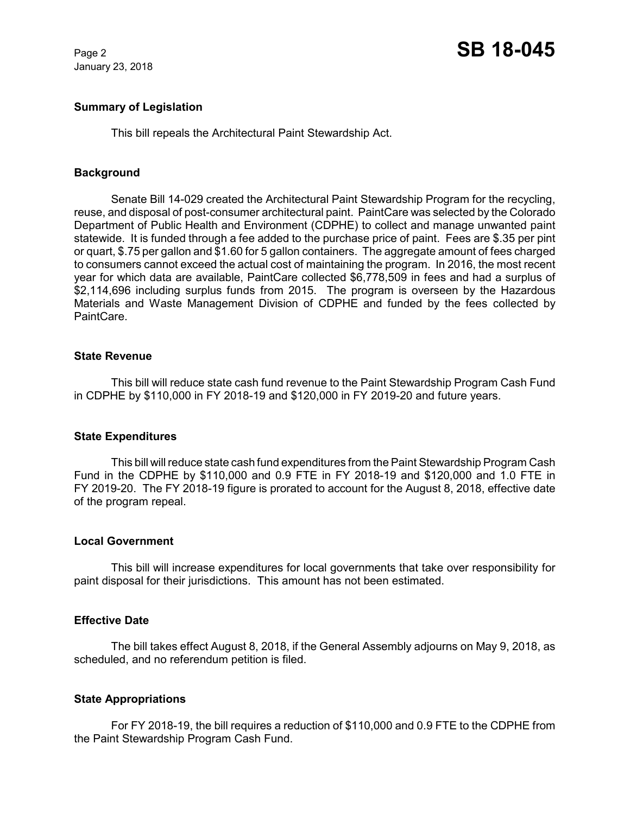January 23, 2018

# **Summary of Legislation**

This bill repeals the Architectural Paint Stewardship Act.

# **Background**

Senate Bill 14-029 created the Architectural Paint Stewardship Program for the recycling, reuse, and disposal of post-consumer architectural paint. PaintCare was selected by the Colorado Department of Public Health and Environment (CDPHE) to collect and manage unwanted paint statewide. It is funded through a fee added to the purchase price of paint. Fees are \$.35 per pint or quart, \$.75 per gallon and \$1.60 for 5 gallon containers. The aggregate amount of fees charged to consumers cannot exceed the actual cost of maintaining the program. In 2016, the most recent year for which data are available, PaintCare collected \$6,778,509 in fees and had a surplus of \$2,114,696 including surplus funds from 2015. The program is overseen by the Hazardous Materials and Waste Management Division of CDPHE and funded by the fees collected by PaintCare.

#### **State Revenue**

This bill will reduce state cash fund revenue to the Paint Stewardship Program Cash Fund in CDPHE by \$110,000 in FY 2018-19 and \$120,000 in FY 2019-20 and future years.

#### **State Expenditures**

This bill will reduce state cash fund expenditures from the Paint Stewardship Program Cash Fund in the CDPHE by \$110,000 and 0.9 FTE in FY 2018-19 and \$120,000 and 1.0 FTE in FY 2019-20. The FY 2018-19 figure is prorated to account for the August 8, 2018, effective date of the program repeal.

#### **Local Government**

This bill will increase expenditures for local governments that take over responsibility for paint disposal for their jurisdictions. This amount has not been estimated.

#### **Effective Date**

The bill takes effect August 8, 2018, if the General Assembly adjourns on May 9, 2018, as scheduled, and no referendum petition is filed.

# **State Appropriations**

For FY 2018-19, the bill requires a reduction of \$110,000 and 0.9 FTE to the CDPHE from the Paint Stewardship Program Cash Fund.